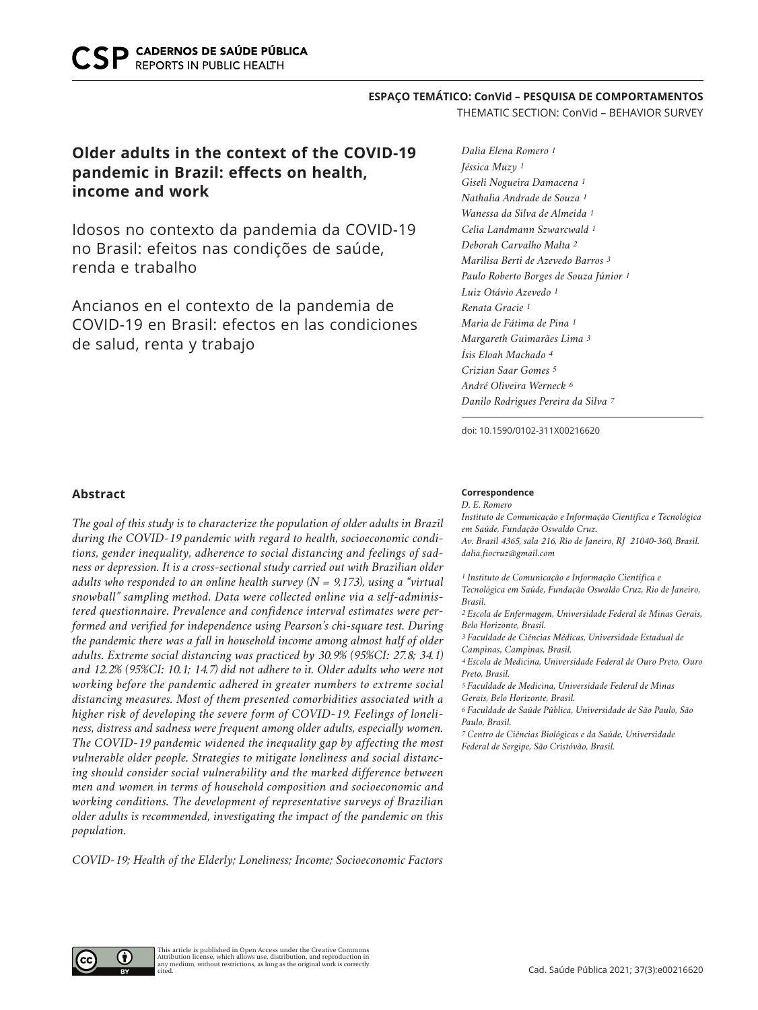## **ESPAÇO TEMÁTICO: ConVid – PESQUISA DE COMPORTAMENTOS**

THEMATIC SECTION: ConVid – BEHAVIOR SURVEY

# **Older adults in the context of the COVID-19 pandemic in Brazil: effects on health, income and work**

Idosos no contexto da pandemia da COVID-19 no Brasil: efeitos nas condições de saúde, renda e trabalho

Ancianos en el contexto de la pandemia de COVID-19 en Brasil: efectos en las condiciones de salud, renta y trabajo

*Dalia Elena Romero 1 Jéssica Muzy 1 Giseli Nogueira Damacena 1 Nathalia Andrade de Souza 1 Wanessa da Silva de Almeida 1 Celia Landmann Szwarcwald 1 Deborah Carvalho Malta 2 Marilisa Berti de Azevedo Barros 3 Paulo Roberto Borges de Souza Júnior 1 Luiz Otávio Azevedo 1 Renata Gracie 1 Maria de Fátima de Pina 1 Margareth Guimarães Lima 3 Ísis Eloah Machado 4 Crizian Saar Gomes 5 André Oliveira Werneck 6 Danilo Rodrigues Pereira da Silva 7*

doi: 10.1590/0102-311X00216620

# **Abstract**

*The goal of this study is to characterize the population of older adults in Brazil during the COVID-19 pandemic with regard to health, socioeconomic conditions, gender inequality, adherence to social distancing and feelings of sadness or depression. It is a cross-sectional study carried out with Brazilian older adults who responded to an online health survey (N = 9,173), using a "virtual snowball" sampling method. Data were collected online via a self-administered questionnaire. Prevalence and confidence interval estimates were performed and verified for independence using Pearson's chi-square test. During the pandemic there was a fall in household income among almost half of older adults. Extreme social distancing was practiced by 30.9% (95%CI: 27.8; 34.1) and 12.2% (95%CI: 10.1; 14.7) did not adhere to it. Older adults who were not working before the pandemic adhered in greater numbers to extreme social distancing measures. Most of them presented comorbidities associated with a higher risk of developing the severe form of COVID-19. Feelings of loneliness, distress and sadness were frequent among older adults, especially women. The COVID-19 pandemic widened the inequality gap by affecting the most vulnerable older people. Strategies to mitigate loneliness and social distancing should consider social vulnerability and the marked difference between men and women in terms of household composition and socioeconomic and working conditions. The development of representative surveys of Brazilian older adults is recommended, investigating the impact of the pandemic on this population.* 

*COVID-19; Health of the Elderly; Loneliness; Income; Socioeconomic Factors*

#### **Correspondence**

*D. E. Romero Instituto de Comunicação e Informação Científica e Tecnológica em Saúde, Fundação Oswaldo Cruz. Av. Brasil 4365, sala 216, Rio de Janeiro, RJ 21040-360, Brasil. dalia.fiocruz@gmail.com*

*1 Instituto de Comunicação e Informação Científica e Tecnológica em Saúde, Fundação Oswaldo Cruz, Rio de Janeiro, Brasil.*

*2 Escola de Enfermagem, Universidade Federal de Minas Gerais, Belo Horizonte, Brasil.*

*3 Faculdade de Ciências Médicas, Universidade Estadual de Campinas, Campinas, Brasil.*

*4 Escola de Medicina, Universidade Federal de Ouro Preto, Ouro Preto, Brasil.*

*5 Faculdade de Medicina, Universidade Federal de Minas Gerais, Belo Horizonte, Brasil.*

*6 Faculdade de Saúde Pública, Universidade de São Paulo, São Paulo, Brasil.*

*7 Centro de Ciências Biológicas e da Saúde, Universidade Federal de Sergipe, São Cristóvão, Brasil.*

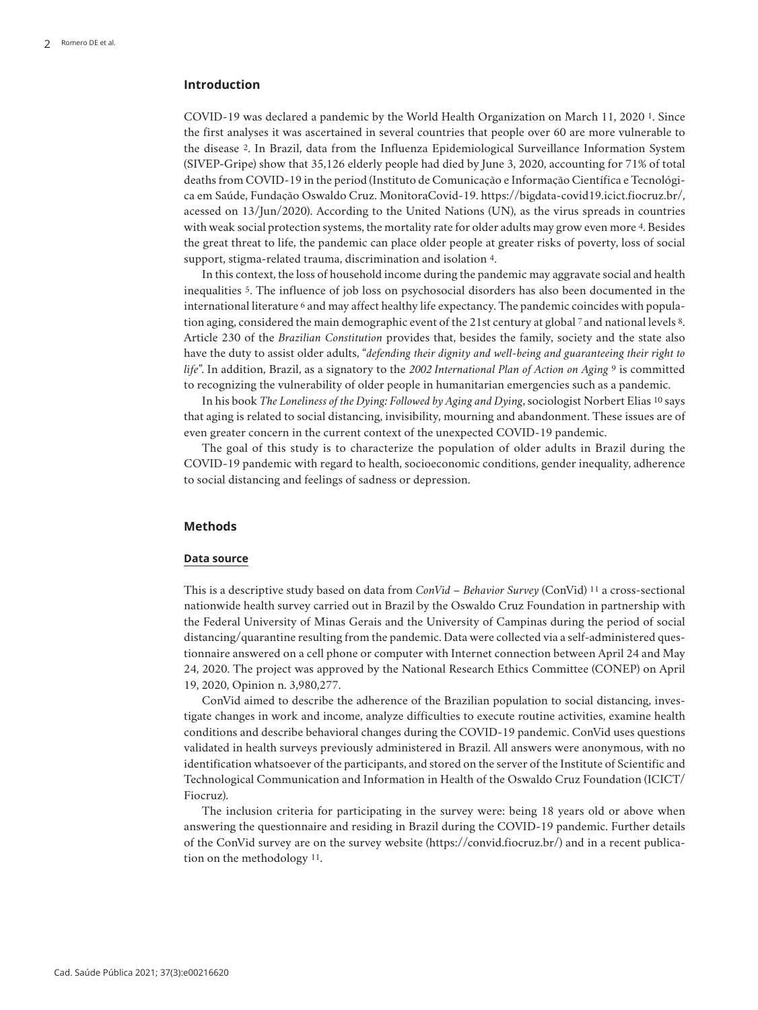# **Introduction**

COVID-19 was declared a pandemic by the World Health Organization on March 11, 2020 1. Since the first analyses it was ascertained in several countries that people over 60 are more vulnerable to the disease 2. In Brazil, data from the Influenza Epidemiological Surveillance Information System (SIVEP-Gripe) show that 35,126 elderly people had died by June 3, 2020, accounting for 71% of total deaths from COVID-19 in the period (Instituto de Comunicação e Informação Científica e Tecnológica em Saúde, Fundação Oswaldo Cruz. MonitoraCovid-19. https://bigdata-covid19.icict.fiocruz.br/, acessed on 13/Jun/2020). According to the United Nations (UN), as the virus spreads in countries with weak social protection systems, the mortality rate for older adults may grow even more 4. Besides the great threat to life, the pandemic can place older people at greater risks of poverty, loss of social support, stigma-related trauma, discrimination and isolation 4.

In this context, the loss of household income during the pandemic may aggravate social and health inequalities 5. The influence of job loss on psychosocial disorders has also been documented in the international literature 6 and may affect healthy life expectancy. The pandemic coincides with population aging, considered the main demographic event of the 21st century at global 7 and national levels 8. Article 230 of the *Brazilian Constitution* provides that, besides the family, society and the state also have the duty to assist older adults, "*defending their dignity and well-being and guaranteeing their right to life*". In addition, Brazil, as a signatory to the *2002 International Plan of Action on Aging* 9 is committed to recognizing the vulnerability of older people in humanitarian emergencies such as a pandemic.

In his book *The Loneliness of the Dying: Followed by Aging and Dying*, sociologist Norbert Elias 10 says that aging is related to social distancing, invisibility, mourning and abandonment. These issues are of even greater concern in the current context of the unexpected COVID-19 pandemic.

The goal of this study is to characterize the population of older adults in Brazil during the COVID-19 pandemic with regard to health, socioeconomic conditions, gender inequality, adherence to social distancing and feelings of sadness or depression.

#### **Methods**

#### **Data source**

This is a descriptive study based on data from *ConVid – Behavior Survey* (ConVid) 11 a cross-sectional nationwide health survey carried out in Brazil by the Oswaldo Cruz Foundation in partnership with the Federal University of Minas Gerais and the University of Campinas during the period of social distancing/quarantine resulting from the pandemic. Data were collected via a self-administered questionnaire answered on a cell phone or computer with Internet connection between April 24 and May 24, 2020. The project was approved by the National Research Ethics Committee (CONEP) on April 19, 2020, Opinion n. 3,980,277.

ConVid aimed to describe the adherence of the Brazilian population to social distancing, investigate changes in work and income, analyze difficulties to execute routine activities, examine health conditions and describe behavioral changes during the COVID-19 pandemic. ConVid uses questions validated in health surveys previously administered in Brazil. All answers were anonymous, with no identification whatsoever of the participants, and stored on the server of the Institute of Scientific and Technological Communication and Information in Health of the Oswaldo Cruz Foundation (ICICT/ Fiocruz).

The inclusion criteria for participating in the survey were: being 18 years old or above when answering the questionnaire and residing in Brazil during the COVID-19 pandemic. Further details of the ConVid survey are on the survey website (https://convid.fiocruz.br/) and in a recent publication on the methodology 11.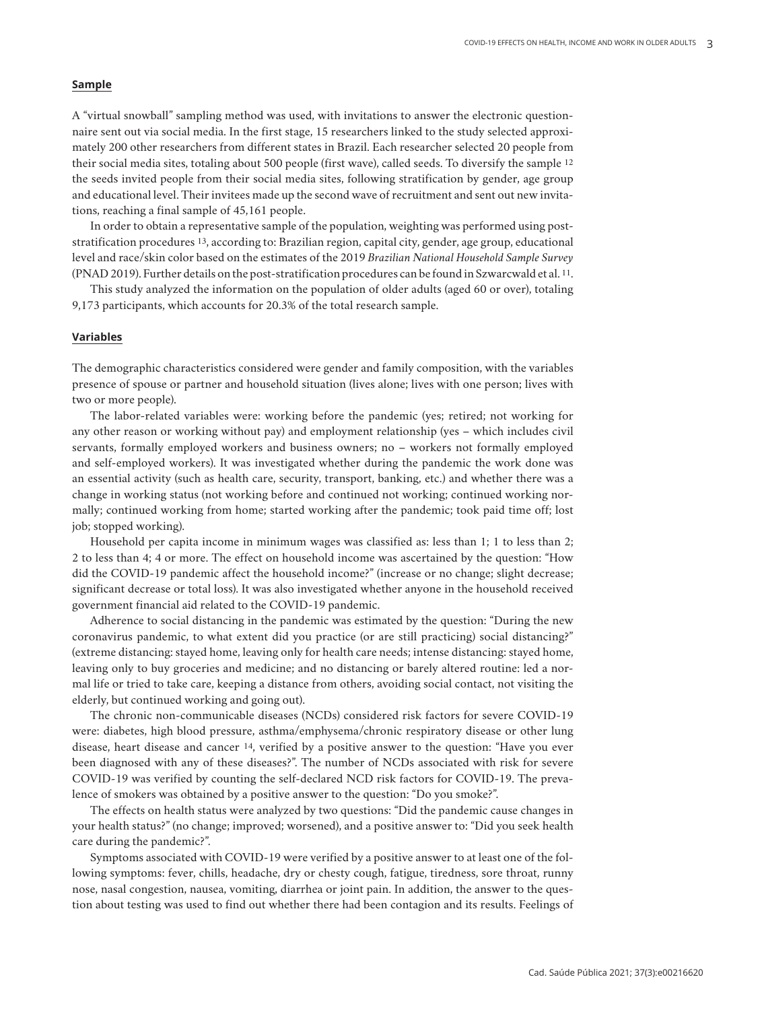## **Sample**

A "virtual snowball" sampling method was used, with invitations to answer the electronic questionnaire sent out via social media. In the first stage, 15 researchers linked to the study selected approximately 200 other researchers from different states in Brazil. Each researcher selected 20 people from their social media sites, totaling about 500 people (first wave), called seeds. To diversify the sample 12 the seeds invited people from their social media sites, following stratification by gender, age group and educational level. Their invitees made up the second wave of recruitment and sent out new invitations, reaching a final sample of 45,161 people.

In order to obtain a representative sample of the population, weighting was performed using poststratification procedures 13, according to: Brazilian region, capital city, gender, age group, educational level and race/skin color based on the estimates of the 2019 *Brazilian National Household Sample Survey* (PNAD 2019). Further details on the post-stratification procedures can be found in Szwarcwald et al. 11.

This study analyzed the information on the population of older adults (aged 60 or over), totaling 9,173 participants, which accounts for 20.3% of the total research sample.

## **Variables**

The demographic characteristics considered were gender and family composition, with the variables presence of spouse or partner and household situation (lives alone; lives with one person; lives with two or more people).

The labor-related variables were: working before the pandemic (yes; retired; not working for any other reason or working without pay) and employment relationship (yes – which includes civil servants, formally employed workers and business owners; no – workers not formally employed and self-employed workers). It was investigated whether during the pandemic the work done was an essential activity (such as health care, security, transport, banking, etc.) and whether there was a change in working status (not working before and continued not working; continued working normally; continued working from home; started working after the pandemic; took paid time off; lost job; stopped working).

Household per capita income in minimum wages was classified as: less than 1; 1 to less than 2; 2 to less than 4; 4 or more. The effect on household income was ascertained by the question: "How did the COVID-19 pandemic affect the household income?" (increase or no change; slight decrease; significant decrease or total loss). It was also investigated whether anyone in the household received government financial aid related to the COVID-19 pandemic.

Adherence to social distancing in the pandemic was estimated by the question: "During the new coronavirus pandemic, to what extent did you practice (or are still practicing) social distancing?" (extreme distancing: stayed home, leaving only for health care needs; intense distancing: stayed home, leaving only to buy groceries and medicine; and no distancing or barely altered routine: led a normal life or tried to take care, keeping a distance from others, avoiding social contact, not visiting the elderly, but continued working and going out).

The chronic non-communicable diseases (NCDs) considered risk factors for severe COVID-19 were: diabetes, high blood pressure, asthma/emphysema/chronic respiratory disease or other lung disease, heart disease and cancer 14, verified by a positive answer to the question: "Have you ever been diagnosed with any of these diseases?". The number of NCDs associated with risk for severe COVID-19 was verified by counting the self-declared NCD risk factors for COVID-19. The prevalence of smokers was obtained by a positive answer to the question: "Do you smoke?".

The effects on health status were analyzed by two questions: "Did the pandemic cause changes in your health status?" (no change; improved; worsened), and a positive answer to: "Did you seek health care during the pandemic?".

Symptoms associated with COVID-19 were verified by a positive answer to at least one of the following symptoms: fever, chills, headache, dry or chesty cough, fatigue, tiredness, sore throat, runny nose, nasal congestion, nausea, vomiting, diarrhea or joint pain. In addition, the answer to the question about testing was used to find out whether there had been contagion and its results. Feelings of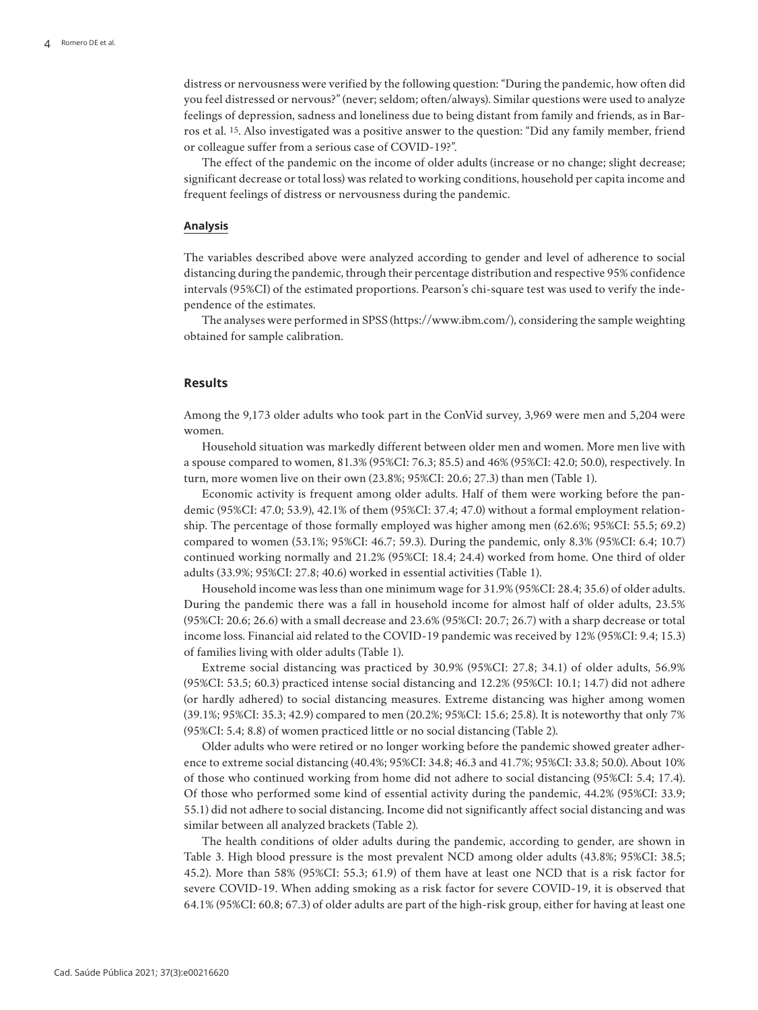distress or nervousness were verified by the following question: "During the pandemic, how often did you feel distressed or nervous?" (never; seldom; often/always). Similar questions were used to analyze feelings of depression, sadness and loneliness due to being distant from family and friends, as in Barros et al. 15. Also investigated was a positive answer to the question: "Did any family member, friend or colleague suffer from a serious case of COVID-19?".

The effect of the pandemic on the income of older adults (increase or no change; slight decrease; significant decrease or total loss) was related to working conditions, household per capita income and frequent feelings of distress or nervousness during the pandemic.

#### **Analysis**

The variables described above were analyzed according to gender and level of adherence to social distancing during the pandemic, through their percentage distribution and respective 95% confidence intervals (95%CI) of the estimated proportions. Pearson's chi-square test was used to verify the independence of the estimates.

The analyses were performed in SPSS (https://www.ibm.com/), considering the sample weighting obtained for sample calibration.

### **Results**

Among the 9,173 older adults who took part in the ConVid survey, 3,969 were men and 5,204 were women.

Household situation was markedly different between older men and women. More men live with a spouse compared to women, 81.3% (95%CI: 76.3; 85.5) and 46% (95%CI: 42.0; 50.0), respectively. In turn, more women live on their own (23.8%; 95%CI: 20.6; 27.3) than men (Table 1).

Economic activity is frequent among older adults. Half of them were working before the pandemic (95%CI: 47.0; 53.9), 42.1% of them (95%CI: 37.4; 47.0) without a formal employment relationship. The percentage of those formally employed was higher among men (62.6%; 95%CI: 55.5; 69.2) compared to women (53.1%; 95%CI: 46.7; 59.3). During the pandemic, only 8.3% (95%CI: 6.4; 10.7) continued working normally and 21.2% (95%CI: 18.4; 24.4) worked from home. One third of older adults (33.9%; 95%CI: 27.8; 40.6) worked in essential activities (Table 1).

Household income was less than one minimum wage for 31.9% (95%CI: 28.4; 35.6) of older adults. During the pandemic there was a fall in household income for almost half of older adults, 23.5% (95%CI: 20.6; 26.6) with a small decrease and 23.6% (95%CI: 20.7; 26.7) with a sharp decrease or total income loss. Financial aid related to the COVID-19 pandemic was received by 12% (95%CI: 9.4; 15.3) of families living with older adults (Table 1).

Extreme social distancing was practiced by 30.9% (95%CI: 27.8; 34.1) of older adults, 56.9% (95%CI: 53.5; 60.3) practiced intense social distancing and 12.2% (95%CI: 10.1; 14.7) did not adhere (or hardly adhered) to social distancing measures. Extreme distancing was higher among women (39.1%; 95%CI: 35.3; 42.9) compared to men (20.2%; 95%CI: 15.6; 25.8). It is noteworthy that only 7% (95%CI: 5.4; 8.8) of women practiced little or no social distancing (Table 2).

Older adults who were retired or no longer working before the pandemic showed greater adherence to extreme social distancing (40.4%; 95%CI: 34.8; 46.3 and 41.7%; 95%CI: 33.8; 50.0). About 10% of those who continued working from home did not adhere to social distancing (95%CI: 5.4; 17.4). Of those who performed some kind of essential activity during the pandemic, 44.2% (95%CI: 33.9; 55.1) did not adhere to social distancing. Income did not significantly affect social distancing and was similar between all analyzed brackets (Table 2).

The health conditions of older adults during the pandemic, according to gender, are shown in Table 3. High blood pressure is the most prevalent NCD among older adults (43.8%; 95%CI: 38.5; 45.2). More than 58% (95%CI: 55.3; 61.9) of them have at least one NCD that is a risk factor for severe COVID-19. When adding smoking as a risk factor for severe COVID-19, it is observed that 64.1% (95%CI: 60.8; 67.3) of older adults are part of the high-risk group, either for having at least one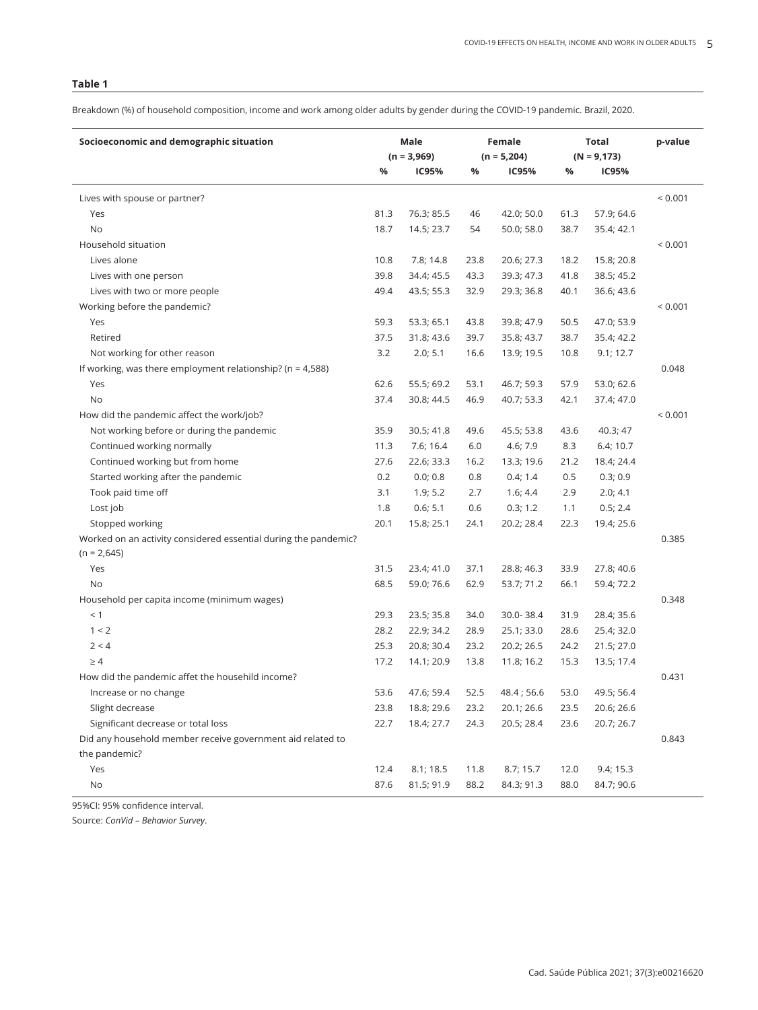Breakdown (%) of household composition, income and work among older adults by gender during the COVID-19 pandemic. Brazil, 2020.

| Socioeconomic and demographic situation                         | Male          |            | Female        |            | Total          |            | p-value     |
|-----------------------------------------------------------------|---------------|------------|---------------|------------|----------------|------------|-------------|
|                                                                 | $(n = 3,969)$ |            | $(n = 5,204)$ |            | $(N = 9, 173)$ |            |             |
|                                                                 | %             | IC95%      | %             | IC95%      | %              | IC95%      |             |
| Lives with spouse or partner?                                   |               |            |               |            |                |            | < 0.001     |
| Yes                                                             | 81.3          | 76.3; 85.5 | 46            | 42.0; 50.0 | 61.3           | 57.9; 64.6 |             |
| No                                                              | 18.7          | 14.5; 23.7 | 54            | 50.0; 58.0 | 38.7           | 35.4; 42.1 |             |
| Household situation                                             |               |            |               |            |                |            | ${}< 0.001$ |
| Lives alone                                                     | 10.8          | 7.8; 14.8  | 23.8          | 20.6; 27.3 | 18.2           | 15.8; 20.8 |             |
| Lives with one person                                           | 39.8          | 34.4; 45.5 | 43.3          | 39.3; 47.3 | 41.8           | 38.5; 45.2 |             |
| Lives with two or more people                                   | 49.4          | 43.5; 55.3 | 32.9          | 29.3; 36.8 | 40.1           | 36.6; 43.6 |             |
| Working before the pandemic?                                    |               |            |               |            |                |            | < 0.001     |
| Yes                                                             | 59.3          | 53.3; 65.1 | 43.8          | 39.8; 47.9 | 50.5           | 47.0; 53.9 |             |
| Retired                                                         | 37.5          | 31.8; 43.6 | 39.7          | 35.8; 43.7 | 38.7           | 35.4; 42.2 |             |
| Not working for other reason                                    | 3.2           | 2.0; 5.1   | 16.6          | 13.9; 19.5 | 10.8           | 9.1; 12.7  |             |
| If working, was there employment relationship? ( $n = 4,588$ )  |               |            |               |            |                |            | 0.048       |
| Yes                                                             | 62.6          | 55.5; 69.2 | 53.1          | 46.7; 59.3 | 57.9           | 53.0; 62.6 |             |
| No                                                              | 37.4          | 30.8; 44.5 | 46.9          | 40.7; 53.3 | 42.1           | 37.4; 47.0 |             |
| How did the pandemic affect the work/job?                       |               |            |               |            |                |            | < 0.001     |
| Not working before or during the pandemic                       | 35.9          | 30.5; 41.8 | 49.6          | 45.5; 53.8 | 43.6           | 40.3; 47   |             |
| Continued working normally                                      | 11.3          | 7.6; 16.4  | 6.0           | 4.6; 7.9   | 8.3            | 6.4; 10.7  |             |
| Continued working but from home                                 | 27.6          | 22.6; 33.3 | 16.2          | 13.3; 19.6 | 21.2           | 18.4; 24.4 |             |
| Started working after the pandemic                              | 0.2           | 0.0; 0.8   | 0.8           | 0.4; 1.4   | 0.5            | 0.3; 0.9   |             |
| Took paid time off                                              | 3.1           | 1.9; 5.2   | 2.7           | 1.6; 4.4   | 2.9            | 2.0; 4.1   |             |
| Lost job                                                        | 1.8           | 0.6; 5.1   | 0.6           | 0.3; 1.2   | 1.1            | 0.5; 2.4   |             |
| Stopped working                                                 | 20.1          | 15.8; 25.1 | 24.1          | 20.2; 28.4 | 22.3           | 19.4; 25.6 |             |
| Worked on an activity considered essential during the pandemic? |               |            |               |            |                |            | 0.385       |
| $(n = 2,645)$                                                   |               |            |               |            |                |            |             |
| Yes                                                             | 31.5          | 23.4; 41.0 | 37.1          | 28.8; 46.3 | 33.9           | 27.8; 40.6 |             |
| No                                                              | 68.5          | 59.0; 76.6 | 62.9          | 53.7; 71.2 | 66.1           | 59.4; 72.2 |             |
| Household per capita income (minimum wages)                     |               |            |               |            |                |            | 0.348       |
| < 1                                                             | 29.3          | 23.5; 35.8 | 34.0          | 30.0-38.4  | 31.9           | 28.4; 35.6 |             |
| 1 < 2                                                           | 28.2          | 22.9; 34.2 | 28.9          | 25.1; 33.0 | 28.6           | 25.4; 32.0 |             |
| 2 < 4                                                           | 25.3          | 20.8; 30.4 | 23.2          | 20.2; 26.5 | 24.2           | 21.5; 27.0 |             |
| $\geq 4$                                                        | 17.2          | 14.1; 20.9 | 13.8          | 11.8; 16.2 | 15.3           | 13.5; 17.4 |             |
| How did the pandemic affet the househild income?                |               |            |               |            |                |            | 0.431       |
| Increase or no change                                           | 53.6          | 47.6: 59.4 | 52.5          | 48.4; 56.6 | 53.0           | 49.5; 56.4 |             |
| Slight decrease                                                 | 23.8          | 18.8; 29.6 | 23.2          | 20.1; 26.6 | 23.5           | 20.6; 26.6 |             |
| Significant decrease or total loss                              | 22.7          | 18.4; 27.7 | 24.3          | 20.5; 28.4 | 23.6           | 20.7; 26.7 |             |
| Did any household member receive government aid related to      |               |            |               |            |                |            | 0.843       |
| the pandemic?                                                   |               |            |               |            |                |            |             |
| Yes                                                             | 12.4          | 8.1; 18.5  | 11.8          | 8.7; 15.7  | 12.0           | 9.4; 15.3  |             |
| No                                                              | 87.6          | 81.5; 91.9 | 88.2          | 84.3; 91.3 | 88.0           | 84.7; 90.6 |             |

95%CI: 95% confidence interval.

Source: *ConVid – Behavior Survey*.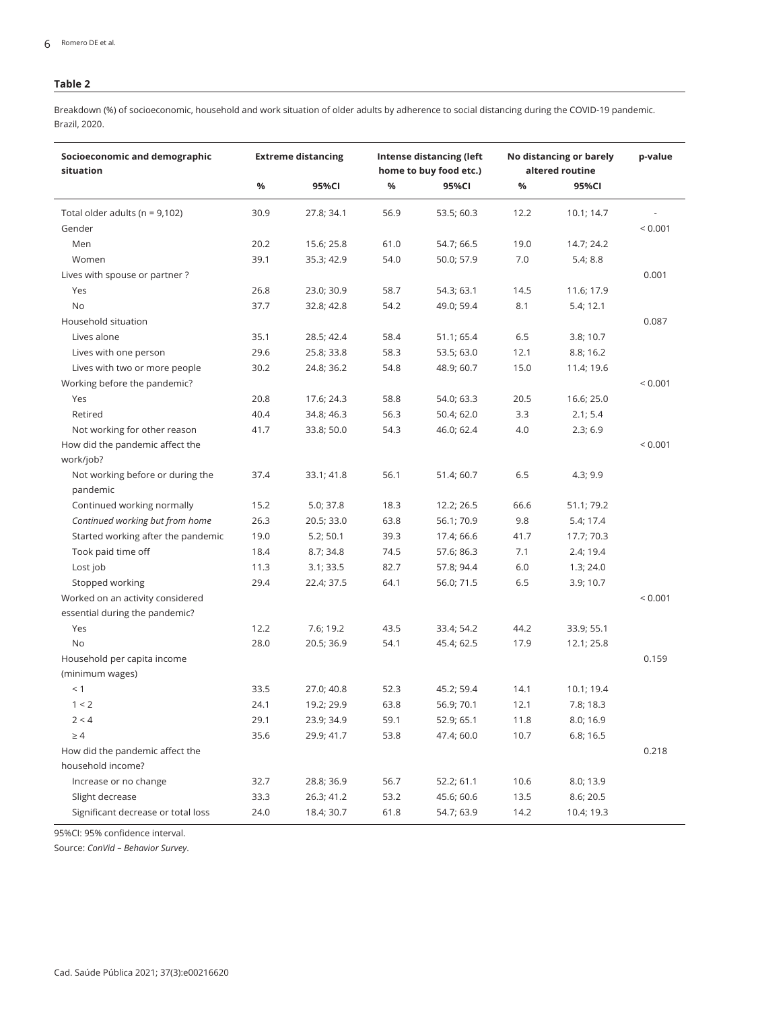Breakdown (%) of socioeconomic, household and work situation of older adults by adherence to social distancing during the COVID-19 pandemic. Brazil, 2020.

| Socioeconomic and demographic<br>situation                         |      | <b>Extreme distancing</b> |      | Intense distancing (left<br>home to buy food etc.) | No distancing or barely<br>altered routine | p-value    |             |
|--------------------------------------------------------------------|------|---------------------------|------|----------------------------------------------------|--------------------------------------------|------------|-------------|
|                                                                    | $\%$ | 95%CI                     | %    | 95%CI                                              | %                                          | 95%CI      |             |
| Total older adults ( $n = 9,102$ )                                 | 30.9 | 27.8; 34.1                | 56.9 | 53.5; 60.3                                         | 12.2                                       | 10.1; 14.7 |             |
| Gender                                                             |      |                           |      |                                                    |                                            |            | ${}< 0.001$ |
| Men                                                                | 20.2 | 15.6; 25.8                | 61.0 | 54.7; 66.5                                         | 19.0                                       | 14.7; 24.2 |             |
| Women                                                              | 39.1 | 35.3; 42.9                | 54.0 | 50.0; 57.9                                         | 7.0                                        | 5.4; 8.8   |             |
| Lives with spouse or partner?                                      |      |                           |      |                                                    |                                            |            | 0.001       |
| Yes                                                                | 26.8 | 23.0; 30.9                | 58.7 | 54.3; 63.1                                         | 14.5                                       | 11.6; 17.9 |             |
| No                                                                 | 37.7 | 32.8; 42.8                | 54.2 | 49.0; 59.4                                         | 8.1                                        | 5.4; 12.1  |             |
| Household situation                                                |      |                           |      |                                                    |                                            |            | 0.087       |
| Lives alone                                                        | 35.1 | 28.5; 42.4                | 58.4 | 51.1; 65.4                                         | 6.5                                        | 3.8; 10.7  |             |
| Lives with one person                                              | 29.6 | 25.8; 33.8                | 58.3 | 53.5; 63.0                                         | 12.1                                       | 8.8; 16.2  |             |
| Lives with two or more people                                      | 30.2 | 24.8; 36.2                | 54.8 | 48.9; 60.7                                         | 15.0                                       | 11.4; 19.6 |             |
| Working before the pandemic?                                       |      |                           |      |                                                    |                                            |            | < 0.001     |
| Yes                                                                | 20.8 | 17.6; 24.3                | 58.8 | 54.0; 63.3                                         | 20.5                                       | 16.6; 25.0 |             |
| Retired                                                            | 40.4 | 34.8; 46.3                | 56.3 | 50.4; 62.0                                         | 3.3                                        | 2.1; 5.4   |             |
| Not working for other reason                                       | 41.7 | 33.8; 50.0                | 54.3 | 46.0; 62.4                                         | 4.0                                        | 2.3; 6.9   |             |
| How did the pandemic affect the                                    |      |                           |      |                                                    |                                            |            | < 0.001     |
| work/job?                                                          |      |                           |      |                                                    |                                            |            |             |
| Not working before or during the<br>pandemic                       | 37.4 | 33.1; 41.8                | 56.1 | 51.4; 60.7                                         | 6.5                                        | 4.3; 9.9   |             |
| Continued working normally                                         | 15.2 | 5.0; 37.8                 | 18.3 | 12.2; 26.5                                         | 66.6                                       | 51.1; 79.2 |             |
| Continued working but from home                                    | 26.3 | 20.5; 33.0                | 63.8 | 56.1; 70.9                                         | 9.8                                        | 5.4; 17.4  |             |
| Started working after the pandemic                                 | 19.0 | 5.2; 50.1                 | 39.3 | 17.4; 66.6                                         | 41.7                                       | 17.7; 70.3 |             |
| Took paid time off                                                 | 18.4 | 8.7; 34.8                 | 74.5 | 57.6; 86.3                                         | 7.1                                        | 2.4; 19.4  |             |
| Lost job                                                           | 11.3 | 3.1; 33.5                 | 82.7 | 57.8; 94.4                                         | 6.0                                        | 1.3; 24.0  |             |
| Stopped working                                                    | 29.4 | 22.4; 37.5                | 64.1 | 56.0; 71.5                                         | 6.5                                        | 3.9; 10.7  |             |
| Worked on an activity considered<br>essential during the pandemic? |      |                           |      |                                                    |                                            |            | < 0.001     |
| Yes                                                                | 12.2 | 7.6; 19.2                 | 43.5 | 33.4; 54.2                                         | 44.2                                       | 33.9; 55.1 |             |
| No                                                                 | 28.0 | 20.5; 36.9                | 54.1 | 45.4; 62.5                                         | 17.9                                       | 12.1; 25.8 |             |
| Household per capita income                                        |      |                           |      |                                                    |                                            |            | 0.159       |
| (minimum wages)                                                    |      |                           |      |                                                    |                                            |            |             |
| < 1                                                                | 33.5 | 27.0; 40.8                | 52.3 | 45.2; 59.4                                         | 14.1                                       | 10.1; 19.4 |             |
| 1 < 2                                                              | 24.1 | 19.2; 29.9                | 63.8 | 56.9; 70.1                                         | 12.1                                       | 7.8; 18.3  |             |
| 2 < 4                                                              | 29.1 | 23.9; 34.9                | 59.1 | 52.9; 65.1                                         | 11.8                                       | 8.0; 16.9  |             |
| $\geq 4$                                                           | 35.6 | 29.9; 41.7                | 53.8 | 47.4; 60.0                                         | 10.7                                       | 6.8; 16.5  |             |
| How did the pandemic affect the                                    |      |                           |      |                                                    |                                            |            | 0.218       |
| household income?                                                  |      |                           |      |                                                    |                                            |            |             |
| Increase or no change                                              | 32.7 | 28.8; 36.9                | 56.7 | 52.2; 61.1                                         | 10.6                                       | 8.0; 13.9  |             |
| Slight decrease                                                    | 33.3 | 26.3; 41.2                | 53.2 | 45.6; 60.6                                         | 13.5                                       | 8.6; 20.5  |             |
| Significant decrease or total loss                                 | 24.0 | 18.4; 30.7                | 61.8 | 54.7; 63.9                                         | 14.2                                       | 10.4; 19.3 |             |

95%CI: 95% confidence interval.

Source: *ConVid – Behavior Survey*.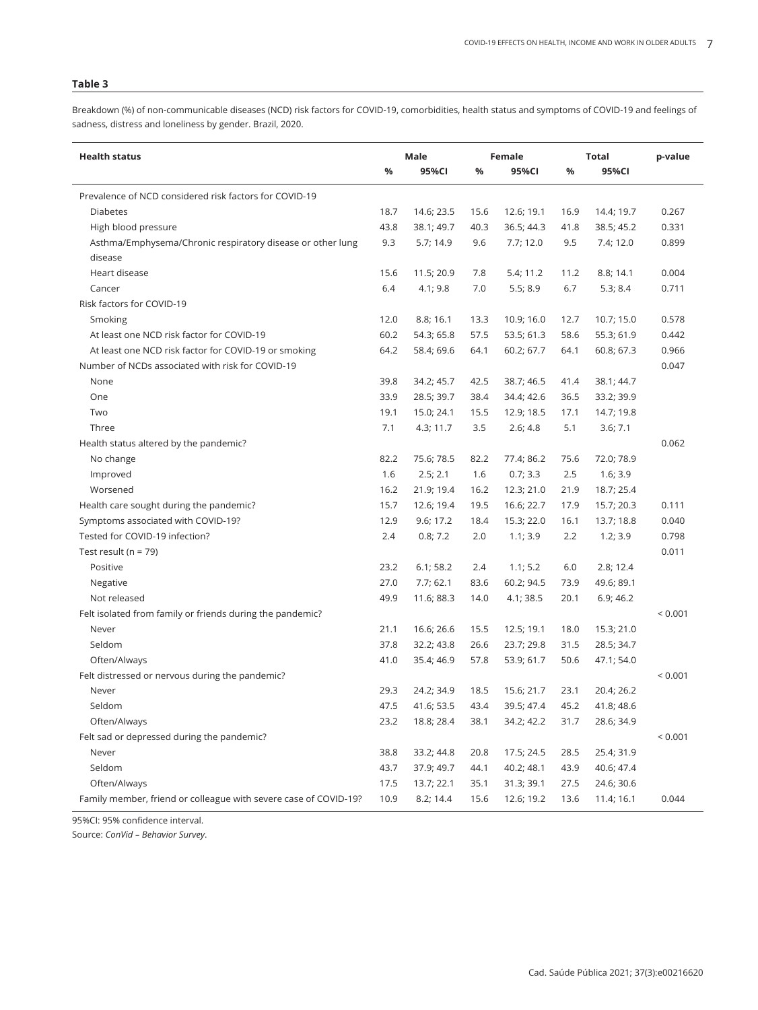Breakdown (%) of non-communicable diseases (NCD) risk factors for COVID-19, comorbidities, health status and symptoms of COVID-19 and feelings of sadness, distress and loneliness by gender. Brazil, 2020.

| <b>Health status</b>                                             | Male |            |      | Female     |      | Total      | p-value |
|------------------------------------------------------------------|------|------------|------|------------|------|------------|---------|
|                                                                  | %    | 95%CI      | %    | 95%CI      | %    | 95%CI      |         |
| Prevalence of NCD considered risk factors for COVID-19           |      |            |      |            |      |            |         |
| <b>Diabetes</b>                                                  | 18.7 | 14.6; 23.5 | 15.6 | 12.6; 19.1 | 16.9 | 14.4; 19.7 | 0.267   |
| High blood pressure                                              | 43.8 | 38.1; 49.7 | 40.3 | 36.5; 44.3 | 41.8 | 38.5; 45.2 | 0.331   |
| Asthma/Emphysema/Chronic respiratory disease or other lung       | 9.3  | 5.7; 14.9  | 9.6  | 7.7; 12.0  | 9.5  | 7.4; 12.0  | 0.899   |
| disease                                                          |      |            |      |            |      |            |         |
| Heart disease                                                    | 15.6 | 11.5; 20.9 | 7.8  | 5.4; 11.2  | 11.2 | 8.8; 14.1  | 0.004   |
| Cancer                                                           | 6.4  | 4.1; 9.8   | 7.0  | 5.5; 8.9   | 6.7  | 5.3; 8.4   | 0.711   |
| Risk factors for COVID-19                                        |      |            |      |            |      |            |         |
| Smoking                                                          | 12.0 | 8.8; 16.1  | 13.3 | 10.9; 16.0 | 12.7 | 10.7; 15.0 | 0.578   |
| At least one NCD risk factor for COVID-19                        | 60.2 | 54.3; 65.8 | 57.5 | 53.5; 61.3 | 58.6 | 55.3; 61.9 | 0.442   |
| At least one NCD risk factor for COVID-19 or smoking             | 64.2 | 58.4; 69.6 | 64.1 | 60.2; 67.7 | 64.1 | 60.8; 67.3 | 0.966   |
| Number of NCDs associated with risk for COVID-19                 |      |            |      |            |      |            | 0.047   |
| None                                                             | 39.8 | 34.2; 45.7 | 42.5 | 38.7; 46.5 | 41.4 | 38.1; 44.7 |         |
| One                                                              | 33.9 | 28.5; 39.7 | 38.4 | 34.4; 42.6 | 36.5 | 33.2; 39.9 |         |
| Two                                                              | 19.1 | 15.0; 24.1 | 15.5 | 12.9; 18.5 | 17.1 | 14.7; 19.8 |         |
| Three                                                            | 7.1  | 4.3; 11.7  | 3.5  | 2.6; 4.8   | 5.1  | 3.6; 7.1   |         |
| Health status altered by the pandemic?                           |      |            |      |            |      |            | 0.062   |
| No change                                                        | 82.2 | 75.6; 78.5 | 82.2 | 77.4; 86.2 | 75.6 | 72.0; 78.9 |         |
| Improved                                                         | 1.6  | 2.5; 2.1   | 1.6  | 0.7; 3.3   | 2.5  | 1.6; 3.9   |         |
| Worsened                                                         | 16.2 | 21.9; 19.4 | 16.2 | 12.3; 21.0 | 21.9 | 18.7; 25.4 |         |
| Health care sought during the pandemic?                          | 15.7 | 12.6; 19.4 | 19.5 | 16.6; 22.7 | 17.9 | 15.7; 20.3 | 0.111   |
| Symptoms associated with COVID-19?                               | 12.9 | 9.6; 17.2  | 18.4 | 15.3; 22.0 | 16.1 | 13.7; 18.8 | 0.040   |
| Tested for COVID-19 infection?                                   | 2.4  | 0.8; 7.2   | 2.0  | 1.1; 3.9   | 2.2  | 1.2; 3.9   | 0.798   |
| Test result ( $n = 79$ )                                         |      |            |      |            |      |            | 0.011   |
| Positive                                                         | 23.2 | 6.1; 58.2  | 2.4  | 1.1; 5.2   | 6.0  | 2.8; 12.4  |         |
| Negative                                                         | 27.0 | 7.7;62.1   | 83.6 | 60.2; 94.5 | 73.9 | 49.6; 89.1 |         |
| Not released                                                     | 49.9 | 11.6; 88.3 | 14.0 | 4.1; 38.5  | 20.1 | 6.9; 46.2  |         |
| Felt isolated from family or friends during the pandemic?        |      |            |      |            |      |            | < 0.001 |
| Never                                                            | 21.1 | 16.6; 26.6 | 15.5 | 12.5; 19.1 | 18.0 | 15.3; 21.0 |         |
| Seldom                                                           | 37.8 | 32.2; 43.8 | 26.6 | 23.7; 29.8 | 31.5 | 28.5; 34.7 |         |
| Often/Always                                                     | 41.0 | 35.4; 46.9 | 57.8 | 53.9; 61.7 | 50.6 | 47.1; 54.0 |         |
| Felt distressed or nervous during the pandemic?                  |      |            |      |            |      |            | < 0.001 |
| Never                                                            | 29.3 | 24.2; 34.9 | 18.5 | 15.6; 21.7 | 23.1 | 20.4; 26.2 |         |
| Seldom                                                           | 47.5 | 41.6; 53.5 | 43.4 | 39.5; 47.4 | 45.2 | 41.8; 48.6 |         |
| Often/Always                                                     | 23.2 | 18.8; 28.4 | 38.1 | 34.2; 42.2 | 31.7 | 28.6; 34.9 |         |
| Felt sad or depressed during the pandemic?                       |      |            |      |            |      |            | < 0.001 |
| Never                                                            | 38.8 | 33.2; 44.8 | 20.8 | 17.5; 24.5 | 28.5 | 25.4; 31.9 |         |
| Seldom                                                           | 43.7 | 37.9; 49.7 | 44.1 | 40.2; 48.1 | 43.9 | 40.6; 47.4 |         |
| Often/Always                                                     | 17.5 | 13.7; 22.1 | 35.1 | 31.3; 39.1 | 27.5 | 24.6; 30.6 |         |
| Family member, friend or colleague with severe case of COVID-19? | 10.9 | 8.2; 14.4  | 15.6 | 12.6; 19.2 | 13.6 | 11.4; 16.1 | 0.044   |

95%CI: 95% confidence interval.

Source: *ConVid – Behavior Survey*.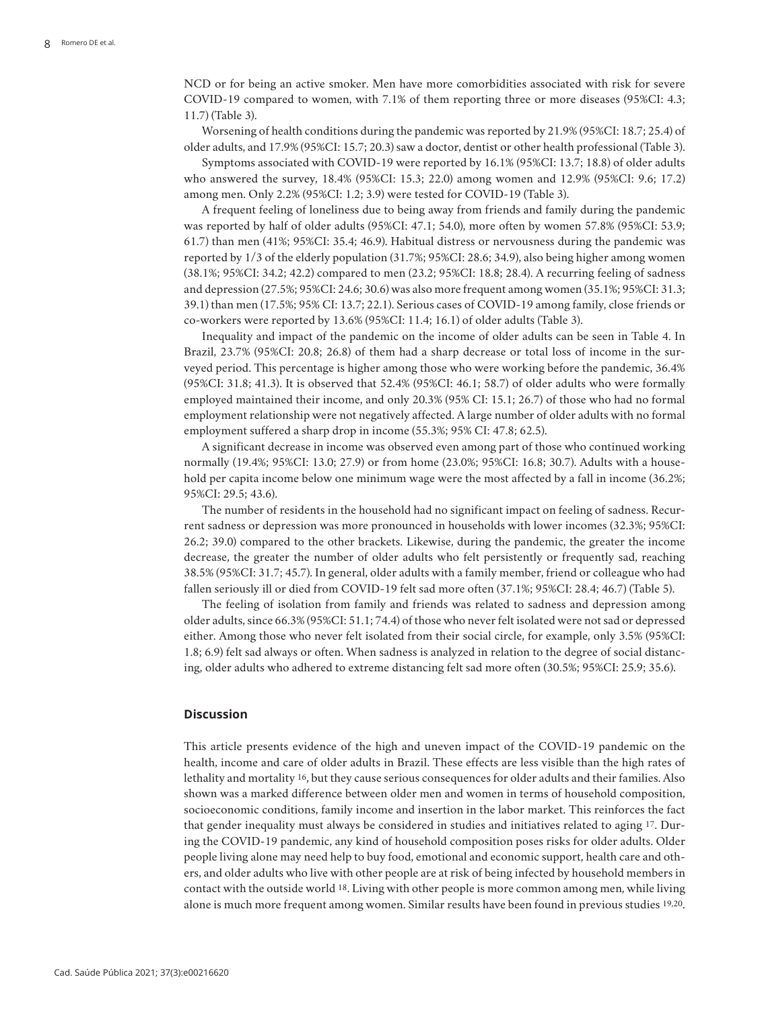NCD or for being an active smoker. Men have more comorbidities associated with risk for severe COVID-19 compared to women, with 7.1% of them reporting three or more diseases (95%CI: 4.3; 11.7) (Table 3).

Worsening of health conditions during the pandemic was reported by 21.9% (95%CI: 18.7; 25.4) of older adults, and 17.9% (95%CI: 15.7; 20.3) saw a doctor, dentist or other health professional (Table 3).

Symptoms associated with COVID-19 were reported by 16.1% (95%CI: 13.7; 18.8) of older adults who answered the survey, 18.4% (95%CI: 15.3; 22.0) among women and 12.9% (95%CI: 9.6; 17.2) among men. Only 2.2% (95%CI: 1.2; 3.9) were tested for COVID-19 (Table 3).

A frequent feeling of loneliness due to being away from friends and family during the pandemic was reported by half of older adults (95%CI: 47.1; 54.0), more often by women 57.8% (95%CI: 53.9; 61.7) than men (41%; 95%CI: 35.4; 46.9). Habitual distress or nervousness during the pandemic was reported by 1/3 of the elderly population (31.7%; 95%CI: 28.6; 34.9), also being higher among women (38.1%; 95%CI: 34.2; 42.2) compared to men (23.2; 95%CI: 18.8; 28.4). A recurring feeling of sadness and depression (27.5%; 95%CI: 24.6; 30.6) was also more frequent among women (35.1%; 95%CI: 31.3; 39.1) than men (17.5%; 95% CI: 13.7; 22.1). Serious cases of COVID-19 among family, close friends or co-workers were reported by 13.6% (95%CI: 11.4; 16.1) of older adults (Table 3).

Inequality and impact of the pandemic on the income of older adults can be seen in Table 4. In Brazil, 23.7% (95%CI: 20.8; 26.8) of them had a sharp decrease or total loss of income in the surveyed period. This percentage is higher among those who were working before the pandemic, 36.4% (95%CI: 31.8; 41.3). It is observed that 52.4% (95%CI: 46.1; 58.7) of older adults who were formally employed maintained their income, and only 20.3% (95% CI: 15.1; 26.7) of those who had no formal employment relationship were not negatively affected. A large number of older adults with no formal employment suffered a sharp drop in income (55.3%; 95% CI: 47.8; 62.5).

A significant decrease in income was observed even among part of those who continued working normally (19.4%; 95%CI: 13.0; 27.9) or from home (23.0%; 95%CI: 16.8; 30.7). Adults with a household per capita income below one minimum wage were the most affected by a fall in income (36.2%; 95%CI: 29.5; 43.6).

The number of residents in the household had no significant impact on feeling of sadness. Recurrent sadness or depression was more pronounced in households with lower incomes (32.3%; 95%CI: 26.2; 39.0) compared to the other brackets. Likewise, during the pandemic, the greater the income decrease, the greater the number of older adults who felt persistently or frequently sad, reaching 38.5% (95%CI: 31.7; 45.7). In general, older adults with a family member, friend or colleague who had fallen seriously ill or died from COVID-19 felt sad more often (37.1%; 95%CI: 28.4; 46.7) (Table 5).

The feeling of isolation from family and friends was related to sadness and depression among older adults, since 66.3% (95%CI: 51.1; 74.4) of those who never felt isolated were not sad or depressed either. Among those who never felt isolated from their social circle, for example, only 3.5% (95%CI: 1.8; 6.9) felt sad always or often. When sadness is analyzed in relation to the degree of social distancing, older adults who adhered to extreme distancing felt sad more often (30.5%; 95%CI: 25.9; 35.6).

## **Discussion**

This article presents evidence of the high and uneven impact of the COVID-19 pandemic on the health, income and care of older adults in Brazil. These effects are less visible than the high rates of lethality and mortality 16, but they cause serious consequences for older adults and their families. Also shown was a marked difference between older men and women in terms of household composition, socioeconomic conditions, family income and insertion in the labor market. This reinforces the fact that gender inequality must always be considered in studies and initiatives related to aging 17. During the COVID-19 pandemic, any kind of household composition poses risks for older adults. Older people living alone may need help to buy food, emotional and economic support, health care and others, and older adults who live with other people are at risk of being infected by household members in contact with the outside world 18. Living with other people is more common among men, while living alone is much more frequent among women. Similar results have been found in previous studies 19,20.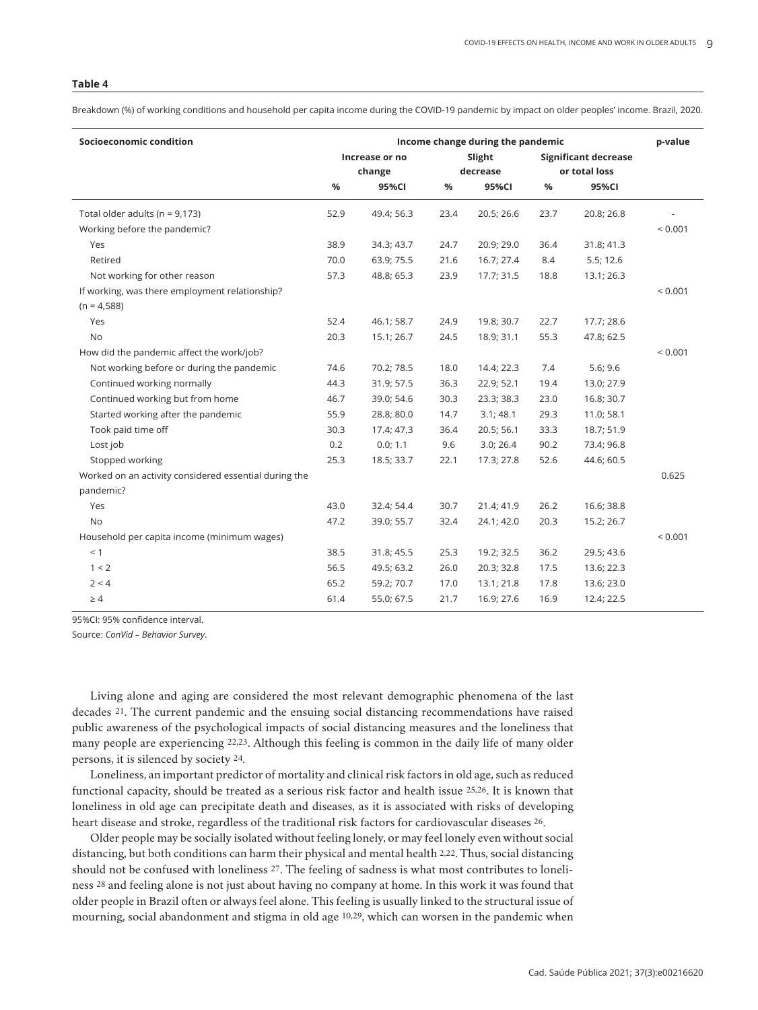Breakdown (%) of working conditions and household per capita income during the COVID-19 pandemic by impact on older peoples' income. Brazil, 2020.

| Socioeconomic condition                               | Income change during the pandemic |            |      |            |                             |            |              |
|-------------------------------------------------------|-----------------------------------|------------|------|------------|-----------------------------|------------|--------------|
|                                                       | Increase or no                    |            |      | Slight     | <b>Significant decrease</b> |            |              |
|                                                       | change                            |            |      | decrease   | or total loss               |            |              |
|                                                       | %                                 | 95%CI      | %    | 95%CI      | $\%$                        | 95%CI      |              |
| Total older adults ( $n = 9,173$ )                    | 52.9                              | 49.4; 56.3 | 23.4 | 20.5; 26.6 | 23.7                        | 20.8; 26.8 |              |
| Working before the pandemic?                          |                                   |            |      |            |                             |            | < 0.001      |
| Yes                                                   | 38.9                              | 34.3; 43.7 | 24.7 | 20.9; 29.0 | 36.4                        | 31.8; 41.3 |              |
| Retired                                               | 70.0                              | 63.9; 75.5 | 21.6 | 16.7; 27.4 | 8.4                         | 5.5; 12.6  |              |
| Not working for other reason                          | 57.3                              | 48.8; 65.3 | 23.9 | 17.7; 31.5 | 18.8                        | 13.1; 26.3 |              |
| If working, was there employment relationship?        |                                   |            |      |            |                             |            | ${}_{0.001}$ |
| $(n = 4,588)$                                         |                                   |            |      |            |                             |            |              |
| Yes                                                   | 52.4                              | 46.1; 58.7 | 24.9 | 19.8; 30.7 | 22.7                        | 17.7; 28.6 |              |
| <b>No</b>                                             | 20.3                              | 15.1; 26.7 | 24.5 | 18.9; 31.1 | 55.3                        | 47.8; 62.5 |              |
| How did the pandemic affect the work/job?             |                                   |            |      |            |                             |            | ${}< 0.001$  |
| Not working before or during the pandemic             | 74.6                              | 70.2; 78.5 | 18.0 | 14.4; 22.3 | 7.4                         | 5.6; 9.6   |              |
| Continued working normally                            | 44.3                              | 31.9; 57.5 | 36.3 | 22.9; 52.1 | 19.4                        | 13.0; 27.9 |              |
| Continued working but from home                       | 46.7                              | 39.0; 54.6 | 30.3 | 23.3; 38.3 | 23.0                        | 16.8; 30.7 |              |
| Started working after the pandemic                    | 55.9                              | 28.8; 80.0 | 14.7 | 3.1;48.1   | 29.3                        | 11.0; 58.1 |              |
| Took paid time off                                    | 30.3                              | 17.4; 47.3 | 36.4 | 20.5; 56.1 | 33.3                        | 18.7; 51.9 |              |
| Lost job                                              | 0.2                               | 0.0; 1.1   | 9.6  | 3.0; 26.4  | 90.2                        | 73.4; 96.8 |              |
| Stopped working                                       | 25.3                              | 18.5; 33.7 | 22.1 | 17.3; 27.8 | 52.6                        | 44.6; 60.5 |              |
| Worked on an activity considered essential during the |                                   |            |      |            |                             |            | 0.625        |
| pandemic?                                             |                                   |            |      |            |                             |            |              |
| Yes                                                   | 43.0                              | 32.4; 54.4 | 30.7 | 21.4; 41.9 | 26.2                        | 16.6; 38.8 |              |
| <b>No</b>                                             | 47.2                              | 39.0; 55.7 | 32.4 | 24.1; 42.0 | 20.3                        | 15.2; 26.7 |              |
| Household per capita income (minimum wages)           |                                   |            |      |            |                             |            | < 0.001      |
| < 1                                                   | 38.5                              | 31.8; 45.5 | 25.3 | 19.2; 32.5 | 36.2                        | 29.5; 43.6 |              |
| 1 < 2                                                 | 56.5                              | 49.5; 63.2 | 26.0 | 20.3; 32.8 | 17.5                        | 13.6; 22.3 |              |
| 2 < 4                                                 | 65.2                              | 59.2; 70.7 | 17.0 | 13.1; 21.8 | 17.8                        | 13.6; 23.0 |              |
| $\geq 4$                                              | 61.4                              | 55.0; 67.5 | 21.7 | 16.9; 27.6 | 16.9                        | 12.4; 22.5 |              |

95%CI: 95% confidence interval.

Source: *ConVid – Behavior Survey*.

Living alone and aging are considered the most relevant demographic phenomena of the last decades 21. The current pandemic and the ensuing social distancing recommendations have raised public awareness of the psychological impacts of social distancing measures and the loneliness that many people are experiencing 22,23. Although this feeling is common in the daily life of many older persons, it is silenced by society 24.

Loneliness, an important predictor of mortality and clinical risk factors in old age, such as reduced functional capacity, should be treated as a serious risk factor and health issue 25,26. It is known that loneliness in old age can precipitate death and diseases, as it is associated with risks of developing heart disease and stroke, regardless of the traditional risk factors for cardiovascular diseases 26.

Older people may be socially isolated without feeling lonely, or may feel lonely even without social distancing, but both conditions can harm their physical and mental health 2,22. Thus, social distancing should not be confused with loneliness 27. The feeling of sadness is what most contributes to loneliness 28 and feeling alone is not just about having no company at home. In this work it was found that older people in Brazil often or always feel alone. This feeling is usually linked to the structural issue of mourning, social abandonment and stigma in old age 10,29, which can worsen in the pandemic when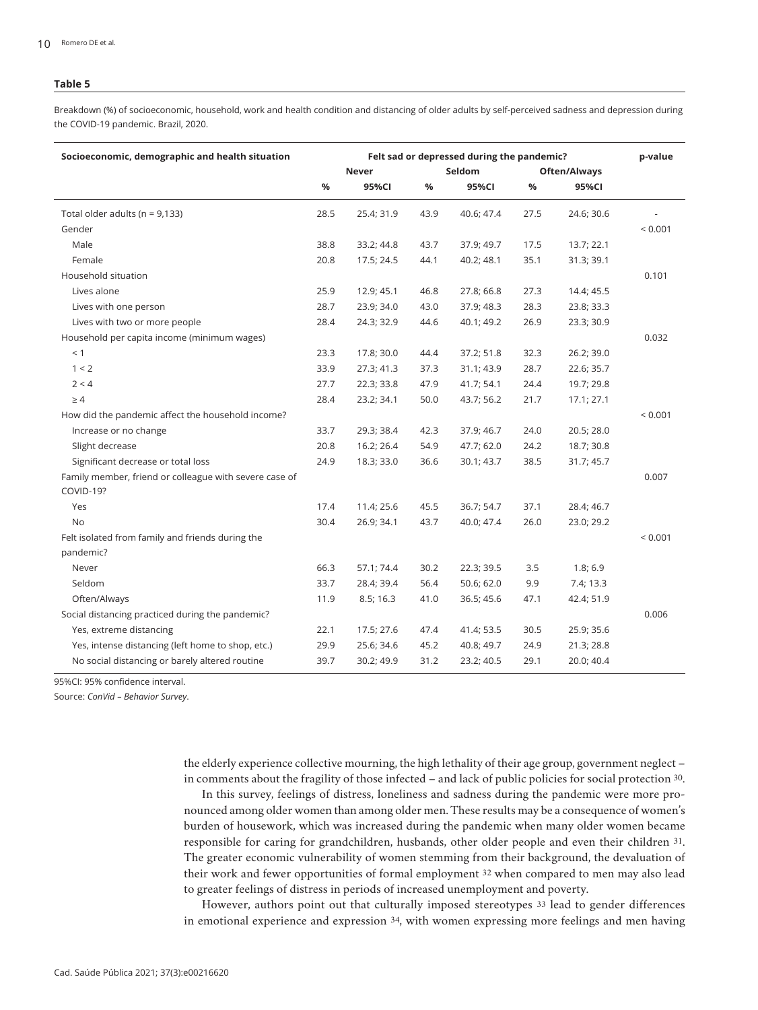Breakdown (%) of socioeconomic, household, work and health condition and distancing of older adults by self-perceived sadness and depression during the COVID-19 pandemic. Brazil, 2020.

| Socioeconomic, demographic and health situation        | Felt sad or depressed during the pandemic? |            |      |            |              |            |              |
|--------------------------------------------------------|--------------------------------------------|------------|------|------------|--------------|------------|--------------|
|                                                        |                                            | Never      |      | Seldom     | Often/Always |            |              |
|                                                        | %                                          | 95%CI      | $\%$ | 95%CI      | %            | 95%CI      |              |
| Total older adults ( $n = 9,133$ )                     | 28.5                                       | 25.4; 31.9 | 43.9 | 40.6; 47.4 | 27.5         | 24.6; 30.6 |              |
| Gender                                                 |                                            |            |      |            |              |            | < 0.001      |
| Male                                                   | 38.8                                       | 33.2; 44.8 | 43.7 | 37.9; 49.7 | 17.5         | 13.7; 22.1 |              |
| Female                                                 | 20.8                                       | 17.5; 24.5 | 44.1 | 40.2; 48.1 | 35.1         | 31.3; 39.1 |              |
| Household situation                                    |                                            |            |      |            |              |            | 0.101        |
| Lives alone                                            | 25.9                                       | 12.9; 45.1 | 46.8 | 27.8; 66.8 | 27.3         | 14.4; 45.5 |              |
| Lives with one person                                  | 28.7                                       | 23.9; 34.0 | 43.0 | 37.9; 48.3 | 28.3         | 23.8; 33.3 |              |
| Lives with two or more people                          | 28.4                                       | 24.3; 32.9 | 44.6 | 40.1; 49.2 | 26.9         | 23.3; 30.9 |              |
| Household per capita income (minimum wages)            |                                            |            |      |            |              |            | 0.032        |
| < 1                                                    | 23.3                                       | 17.8; 30.0 | 44.4 | 37.2; 51.8 | 32.3         | 26.2; 39.0 |              |
| 1 < 2                                                  | 33.9                                       | 27.3; 41.3 | 37.3 | 31.1; 43.9 | 28.7         | 22.6; 35.7 |              |
| 2 < 4                                                  | 27.7                                       | 22.3; 33.8 | 47.9 | 41.7; 54.1 | 24.4         | 19.7; 29.8 |              |
| $\geq 4$                                               | 28.4                                       | 23.2; 34.1 | 50.0 | 43.7; 56.2 | 21.7         | 17.1; 27.1 |              |
| How did the pandemic affect the household income?      |                                            |            |      |            |              |            | < 0.001      |
| Increase or no change                                  | 33.7                                       | 29.3; 38.4 | 42.3 | 37.9; 46.7 | 24.0         | 20.5; 28.0 |              |
| Slight decrease                                        | 20.8                                       | 16.2; 26.4 | 54.9 | 47.7; 62.0 | 24.2         | 18.7; 30.8 |              |
| Significant decrease or total loss                     | 24.9                                       | 18.3; 33.0 | 36.6 | 30.1; 43.7 | 38.5         | 31.7; 45.7 |              |
| Family member, friend or colleague with severe case of |                                            |            |      |            |              |            | 0.007        |
| COVID-19?                                              |                                            |            |      |            |              |            |              |
| Yes                                                    | 17.4                                       | 11.4; 25.6 | 45.5 | 36.7; 54.7 | 37.1         | 28.4; 46.7 |              |
| <b>No</b>                                              | 30.4                                       | 26.9; 34.1 | 43.7 | 40.0; 47.4 | 26.0         | 23.0; 29.2 |              |
| Felt isolated from family and friends during the       |                                            |            |      |            |              |            | ${}_{0.001}$ |
| pandemic?                                              |                                            |            |      |            |              |            |              |
| Never                                                  | 66.3                                       | 57.1; 74.4 | 30.2 | 22.3; 39.5 | 3.5          | 1.8; 6.9   |              |
| Seldom                                                 | 33.7                                       | 28.4; 39.4 | 56.4 | 50.6; 62.0 | 9.9          | 7.4; 13.3  |              |
| Often/Always                                           | 11.9                                       | 8.5; 16.3  | 41.0 | 36.5; 45.6 | 47.1         | 42.4; 51.9 |              |
| Social distancing practiced during the pandemic?       |                                            |            |      |            |              |            | 0.006        |
| Yes, extreme distancing                                | 22.1                                       | 17.5; 27.6 | 47.4 | 41.4; 53.5 | 30.5         | 25.9; 35.6 |              |
| Yes, intense distancing (left home to shop, etc.)      | 29.9                                       | 25.6; 34.6 | 45.2 | 40.8; 49.7 | 24.9         | 21.3; 28.8 |              |
| No social distancing or barely altered routine         | 39.7                                       | 30.2; 49.9 | 31.2 | 23.2; 40.5 | 29.1         | 20.0; 40.4 |              |

95%CI: 95% confidence interval.

Source: *ConVid – Behavior Survey*.

the elderly experience collective mourning, the high lethality of their age group, government neglect – in comments about the fragility of those infected – and lack of public policies for social protection 30.

In this survey, feelings of distress, loneliness and sadness during the pandemic were more pronounced among older women than among older men. These results may be a consequence of women's burden of housework, which was increased during the pandemic when many older women became responsible for caring for grandchildren, husbands, other older people and even their children 31. The greater economic vulnerability of women stemming from their background, the devaluation of their work and fewer opportunities of formal employment 32 when compared to men may also lead to greater feelings of distress in periods of increased unemployment and poverty.

However, authors point out that culturally imposed stereotypes 33 lead to gender differences in emotional experience and expression 34, with women expressing more feelings and men having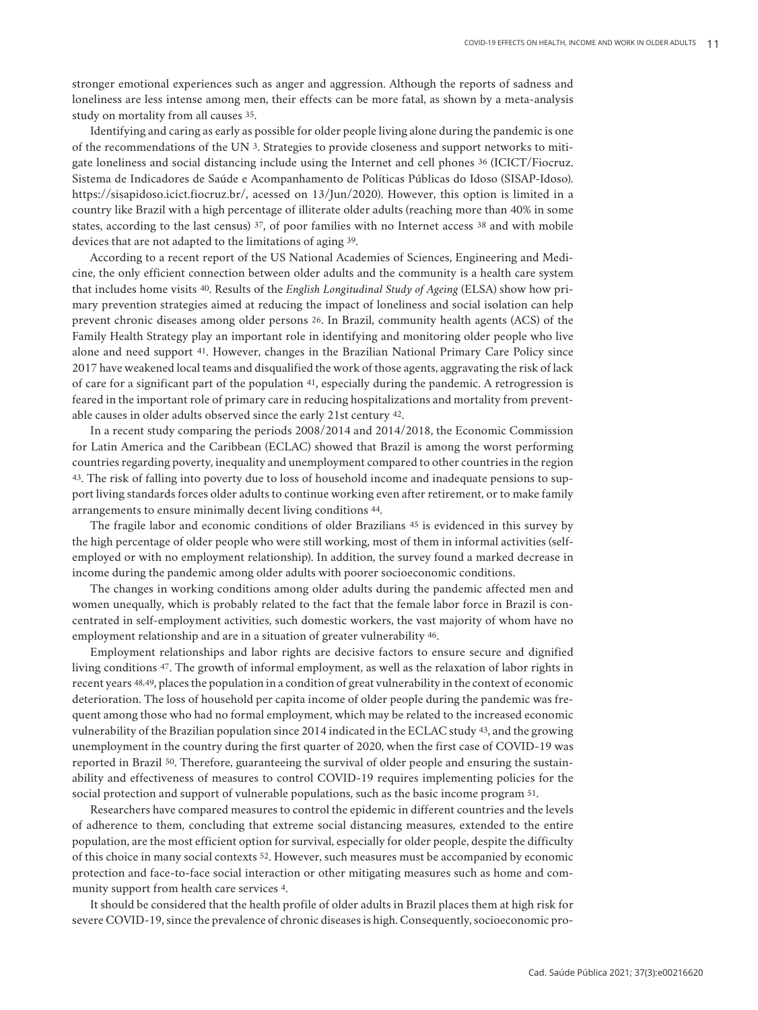stronger emotional experiences such as anger and aggression. Although the reports of sadness and loneliness are less intense among men, their effects can be more fatal, as shown by a meta-analysis study on mortality from all causes 35.

Identifying and caring as early as possible for older people living alone during the pandemic is one of the recommendations of the UN 3. Strategies to provide closeness and support networks to mitigate loneliness and social distancing include using the Internet and cell phones 36 (ICICT/Fiocruz. Sistema de Indicadores de Saúde e Acompanhamento de Políticas Públicas do Idoso (SISAP-Idoso). https://sisapidoso.icict.fiocruz.br/, acessed on 13/Jun/2020). However, this option is limited in a country like Brazil with a high percentage of illiterate older adults (reaching more than 40% in some states, according to the last census) 37, of poor families with no Internet access 38 and with mobile devices that are not adapted to the limitations of aging 39.

According to a recent report of the US National Academies of Sciences, Engineering and Medicine, the only efficient connection between older adults and the community is a health care system that includes home visits 40. Results of the *English Longitudinal Study of Ageing* (ELSA) show how primary prevention strategies aimed at reducing the impact of loneliness and social isolation can help prevent chronic diseases among older persons 26. In Brazil, community health agents (ACS) of the Family Health Strategy play an important role in identifying and monitoring older people who live alone and need support 41. However, changes in the Brazilian National Primary Care Policy since 2017 have weakened local teams and disqualified the work of those agents, aggravating the risk of lack of care for a significant part of the population 41, especially during the pandemic. A retrogression is feared in the important role of primary care in reducing hospitalizations and mortality from preventable causes in older adults observed since the early 21st century 42.

In a recent study comparing the periods 2008/2014 and 2014/2018, the Economic Commission for Latin America and the Caribbean (ECLAC) showed that Brazil is among the worst performing countries regarding poverty, inequality and unemployment compared to other countries in the region 43. The risk of falling into poverty due to loss of household income and inadequate pensions to support living standards forces older adults to continue working even after retirement, or to make family arrangements to ensure minimally decent living conditions 44.

The fragile labor and economic conditions of older Brazilians 45 is evidenced in this survey by the high percentage of older people who were still working, most of them in informal activities (selfemployed or with no employment relationship). In addition, the survey found a marked decrease in income during the pandemic among older adults with poorer socioeconomic conditions.

The changes in working conditions among older adults during the pandemic affected men and women unequally, which is probably related to the fact that the female labor force in Brazil is concentrated in self-employment activities, such domestic workers, the vast majority of whom have no employment relationship and are in a situation of greater vulnerability 46.

Employment relationships and labor rights are decisive factors to ensure secure and dignified living conditions 47. The growth of informal employment, as well as the relaxation of labor rights in recent years 48,49, places the population in a condition of great vulnerability in the context of economic deterioration. The loss of household per capita income of older people during the pandemic was frequent among those who had no formal employment, which may be related to the increased economic vulnerability of the Brazilian population since 2014 indicated in the ECLAC study 43, and the growing unemployment in the country during the first quarter of 2020, when the first case of COVID-19 was reported in Brazil 50. Therefore, guaranteeing the survival of older people and ensuring the sustainability and effectiveness of measures to control COVID-19 requires implementing policies for the social protection and support of vulnerable populations, such as the basic income program 51.

Researchers have compared measures to control the epidemic in different countries and the levels of adherence to them, concluding that extreme social distancing measures, extended to the entire population, are the most efficient option for survival, especially for older people, despite the difficulty of this choice in many social contexts 52. However, such measures must be accompanied by economic protection and face-to-face social interaction or other mitigating measures such as home and community support from health care services 4.

It should be considered that the health profile of older adults in Brazil places them at high risk for severe COVID-19, since the prevalence of chronic diseases is high. Consequently, socioeconomic pro-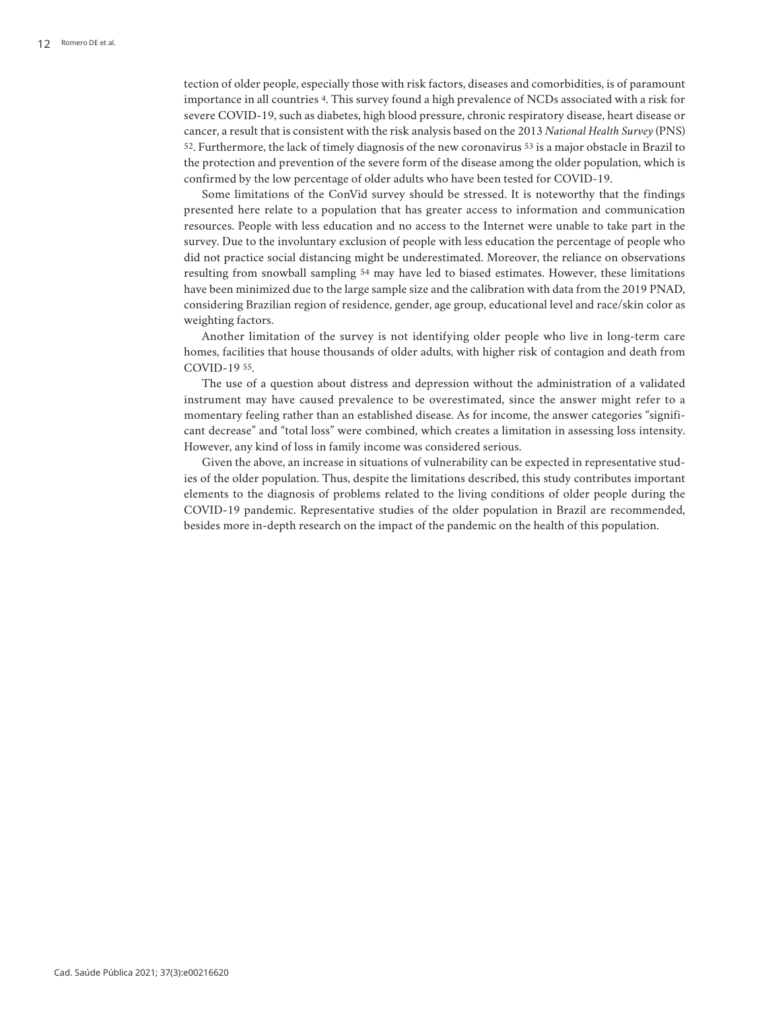tection of older people, especially those with risk factors, diseases and comorbidities, is of paramount importance in all countries 4. This survey found a high prevalence of NCDs associated with a risk for severe COVID-19, such as diabetes, high blood pressure, chronic respiratory disease, heart disease or cancer, a result that is consistent with the risk analysis based on the 2013 *National Health Survey* (PNS) 52. Furthermore, the lack of timely diagnosis of the new coronavirus 53 is a major obstacle in Brazil to the protection and prevention of the severe form of the disease among the older population, which is confirmed by the low percentage of older adults who have been tested for COVID-19.

Some limitations of the ConVid survey should be stressed. It is noteworthy that the findings presented here relate to a population that has greater access to information and communication resources. People with less education and no access to the Internet were unable to take part in the survey. Due to the involuntary exclusion of people with less education the percentage of people who did not practice social distancing might be underestimated. Moreover, the reliance on observations resulting from snowball sampling 54 may have led to biased estimates. However, these limitations have been minimized due to the large sample size and the calibration with data from the 2019 PNAD, considering Brazilian region of residence, gender, age group, educational level and race/skin color as weighting factors.

Another limitation of the survey is not identifying older people who live in long-term care homes, facilities that house thousands of older adults, with higher risk of contagion and death from COVID-19 55.

The use of a question about distress and depression without the administration of a validated instrument may have caused prevalence to be overestimated, since the answer might refer to a momentary feeling rather than an established disease. As for income, the answer categories "significant decrease" and "total loss" were combined, which creates a limitation in assessing loss intensity. However, any kind of loss in family income was considered serious.

Given the above, an increase in situations of vulnerability can be expected in representative studies of the older population. Thus, despite the limitations described, this study contributes important elements to the diagnosis of problems related to the living conditions of older people during the COVID-19 pandemic. Representative studies of the older population in Brazil are recommended, besides more in-depth research on the impact of the pandemic on the health of this population.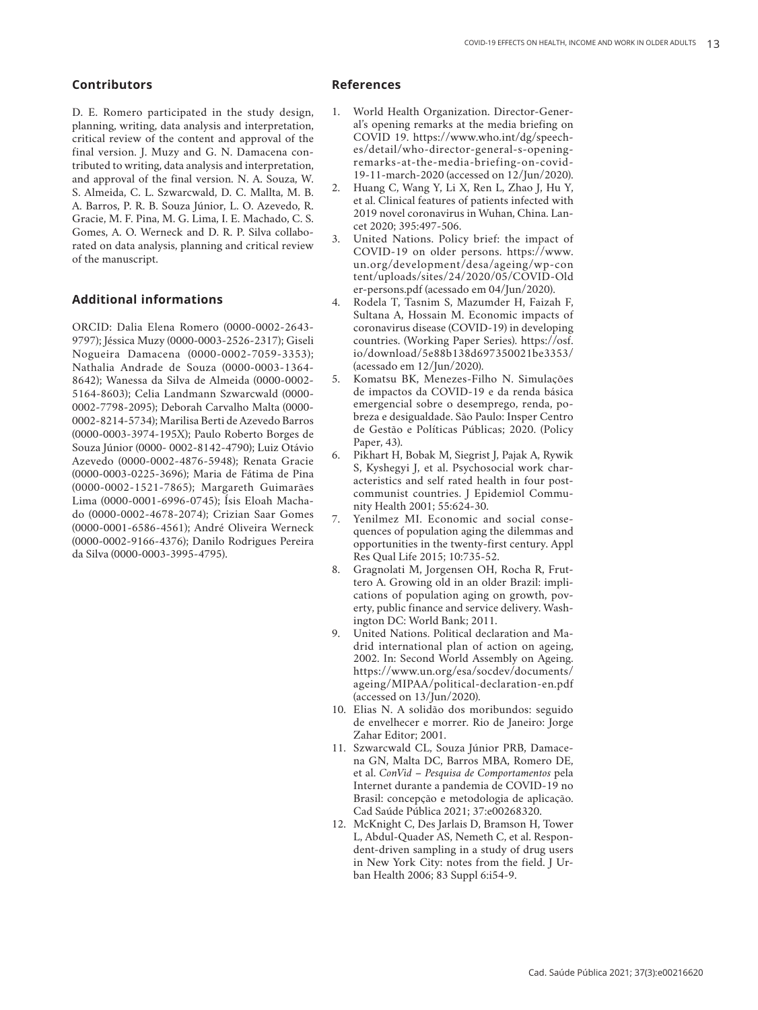# **Contributors**

D. E. Romero participated in the study design, planning, writing, data analysis and interpretation, critical review of the content and approval of the final version. J. Muzy and G. N. Damacena con tributed to writing, data analysis and interpretation, and approval of the final version. N. A. Souza, W. S. Almeida, C. L. Szwarcwald, D. C. Mallta, M. B. A. Barros, P. R. B. Souza Júnior, L. O. Azevedo, R. Gracie, M. F. Pina, M. G. Lima, I. E. Machado, C. S. Gomes, A. O. Werneck and D. R. P. Silva collabo rated on data analysis, planning and critical review of the manuscript.

# **Additional informations**

ORCID: Dalia Elena Romero (0000-0002-2643- 9797); Jéssica Muzy (0000-0003-2526-2317); Giseli Nogueira Damacena (0000-0002-7059-3353); Nathalia Andrade de Souza (0000-0003-1364- 8642); Wanessa da Silva de Almeida (0000-0002- 5164-8603); Celia Landmann Szwarcwald (0000- 0002-7798-2095); Deborah Carvalho Malta (0000- 0002-8214-5734); Marilisa Berti de Azevedo Barros (0000-0003-3974-195X); Paulo Roberto Borges de Souza Júnior (0000- 0002-8142-4790); Luiz Otávio Azevedo (0000-0002-4876-5948); Renata Gracie (0000-0003-0225-3696); Maria de Fátima de Pina (0000-0002-1521-7865); Margareth Guimarães Lima (0000-0001-6996-0745); Ísis Eloah Macha do (0000-0002-4678-2074); Crizian Saar Gomes (0000-0001-6586-4561); André Oliveira Werneck (0000-0002-9166-4376); Danilo Rodrigues Pereira da Silva (0000-0003-3995-4795).

## **References**

- 1. World Health Organization. Director-Gener al's opening remarks at the media briefing on COVID 19. https://www.who.int/dg/speech es/detail/who-director-general-s-openingremarks-at-the-media-briefing-on-covid-19-11-march-2020 (accessed on 12/Jun/2020).
- 2. Huang C, Wang Y, Li X, Ren L, Zhao J, Hu Y, et al. Clinical features of patients infected with 2019 novel coronavirus in Wuhan, China. Lan cet 2020; 395:497-506.
- 3. United Nations. Policy brief: the impact of COVID-19 on older persons. https://www. un.org/development/desa/ageing/wp-con tent/uploads/sites/24/2020/05/COVID-Old er-persons.pdf (acessado em 04/Jun/2020).
- 4. Rodela T, Tasnim S, Mazumder H, Faizah F, Sultana A, Hossain M. Economic impacts of coronavirus disease (COVID-19) in developing countries. (Working Paper Series). https://osf. io/download/5e88b138d697350021be3353/ (acessado em 12/Jun/2020).
- 5. Komatsu BK, Menezes-Filho N. Simulações de impactos da COVID-19 e da renda básica emergencial sobre o desemprego, renda, po breza e desigualdade. São Paulo: Insper Centro de Gestão e Políticas Públicas; 2020. (Policy Paper, 43).
- 6. Pikhart H, Bobak M, Siegrist J, Pajak A, Rywik S, Kyshegyi J, et al. Psychosocial work char acteristics and self rated health in four postcommunist countries. J Epidemiol Community Health 2001; 55:624-30.
- 7. Yenilmez MI. Economic and social conse quences of population aging the dilemmas and opportunities in the twenty-first century. Appl Res Qual Life 2015; 10:735-52.
- 8. Gragnolati M, Jorgensen OH, Rocha R, Frut tero A. Growing old in an older Brazil: impli cations of population aging on growth, pov erty, public finance and service delivery. Wash ington DC: World Bank; 2011.
- 9. United Nations. Political declaration and Ma drid international plan of action on ageing, 2002. In: Second World Assembly on Ageing. https://www.un.org/esa/socdev/documents/ ageing/MIPAA/political-declaration-en.pdf (accessed on 13/Jun/2020).
- 10. Elias N. A solidão dos moribundos: seguido de envelhecer e morrer. Rio de Janeiro: Jorge Zahar Editor; 2001.
- 11. Szwarcwald CL, Souza Júnior PRB, Damace na GN, Malta DC, Barros MBA, Romero DE, et al. *ConVid – Pesquisa de Comportamentos* pela Internet durante a pandemia de COVID-19 no Brasil: concepção e metodologia de aplicação. Cad Saúde Pública 2021; 37:e00268320.
- 12. McKnight C, Des Jarlais D, Bramson H, Tower L, Abdul-Quader AS, Nemeth C, et al. Respon dent-driven sampling in a study of drug users in New York City: notes from the field. J Ur ban Health 2006; 83 Suppl 6:i54-9.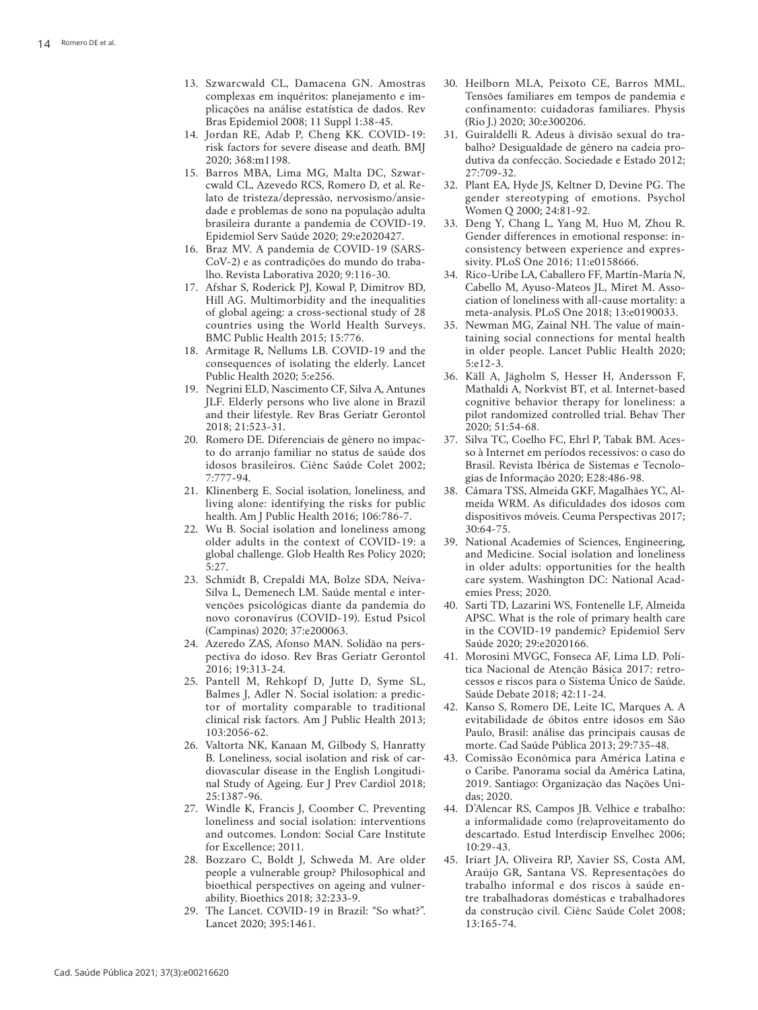- 13. Szwarcwald CL, Damacena GN. Amostras complexas em inquéritos: planejamento e im plicações na análise estatística de dados. Rev Bras Epidemiol 2008; 11 Suppl 1:38-45.
- 14. Jordan RE, Adab P, Cheng KK. COVID-19: risk factors for severe disease and death. BMJ 2020; 368:m1198.
- 15. Barros MBA, Lima MG, Malta DC, Szwar cwald CL, Azevedo RCS, Romero D, et al. Re lato de tristeza/depressão, nervosismo/ansie dade e problemas de sono na população adulta brasileira durante a pandemia de COVID-19. Epidemiol Serv Saúde 2020; 29:e2020427.
- 16. Braz MV. A pandemia de COVID-19 (SARS-CoV-2) e as contradições do mundo do trabalho. Revista Laborativa 2020; 9:116-30.
- 17. Afshar S, Roderick PJ, Kowal P, Dimitrov BD, Hill AG. Multimorbidity and the inequalities of global ageing: a cross-sectional study of 28 countries using the World Health Surveys. BMC Public Health 2015; 15:776.
- 18. Armitage R, Nellums LB. COVID-19 and the consequences of isolating the elderly. Lancet Public Health 2020; 5:e256.
- 19. Negrini ELD, Nascimento CF, Silva A, Antunes JLF. Elderly persons who live alone in Brazil and their lifestyle. Rev Bras Geriatr Gerontol 2018; 21:523-31.
- 20. Romero DE. Diferenciais de gênero no impac to do arranjo familiar no status de saúde dos idosos brasileiros. Ciênc Saúde Colet 2002; 7:777-94.
- 21. Klinenberg E. Social isolation, loneliness, and living alone: identifying the risks for public health. Am J Public Health 2016; 106:786-7.
- 22. Wu B. Social isolation and loneliness among older adults in the context of COVID-19: a global challenge. Glob Health Res Policy 2020; 5:27.
- 23. Schmidt B, Crepaldi MA, Bolze SDA, Neiva-Silva L, Demenech LM. Saúde mental e intervenções psicológicas diante da pandemia do novo coronavírus (COVID-19). Estud Psicol (Campinas) 2020; 37:e200063.
- 24. Azeredo ZAS, Afonso MAN. Solidão na pers pectiva do idoso. Rev Bras Geriatr Gerontol 2016; 19:313-24.
- 25. Pantell M, Rehkopf D, Jutte D, Syme SL, Balmes J, Adler N. Social isolation: a predic tor of mortality comparable to traditional clinical risk factors. Am J Public Health 2013; 103:2056-62.
- 26. Valtorta NK, Kanaan M, Gilbody S, Hanratty B. Loneliness, social isolation and risk of car diovascular disease in the English Longitudi nal Study of Ageing. Eur J Prev Cardiol 2018; 25:1387-96.
- 27. Windle K, Francis J, Coomber C. Preventing loneliness and social isolation: interventions and outcomes. London: Social Care Institute for Excellence; 2011.
- 28. Bozzaro C, Boldt J, Schweda M. Are older people a vulnerable group? Philosophical and bioethical perspectives on ageing and vulner ability. Bioethics 2018; 32:233-9.
- 29. The Lancet. COVID-19 in Brazil: "So what?". Lancet 2020; 395:1461.
- 30. Heilborn MLA, Peixoto CE, Barros MML. Tensões familiares em tempos de pandemia e confinamento: cuidadoras familiares. Physis (Rio J.) 2020; 30:e300206.
- 31. Guiraldelli R. Adeus à divisão sexual do tra balho? Desigualdade de gênero na cadeia pro dutiva da confecção. Sociedade e Estado 2012; 27:709-32.
- 32. Plant EA, Hyde JS, Keltner D, Devine PG. The gender stereotyping of emotions. Psychol Women Q 2000; 24:81-92.
- 33. Deng Y, Chang L, Yang M, Huo M, Zhou R. Gender differences in emotional response: in consistency between experience and expres sivity. PLoS One 2016; 11:e0158666.
- 34. Rico-Uribe LA, Caballero FF, Martín-María N, Cabello M, Ayuso-Mateos JL, Miret M. Asso ciation of loneliness with all-cause mortality: a meta-analysis. PLoS One 2018; 13:e0190033.
- 35. Newman MG, Zainal NH. The value of main taining social connections for mental health in older people. Lancet Public Health 2020; 5:e12-3.
- 36. Käll A, Jägholm S, Hesser H, Andersson F, Mathaldi A, Norkvist BT, et al. Internet-based cognitive behavior therapy for loneliness: a pilot randomized controlled trial. Behav Ther 2020; 51:54-68.
- 37. Silva TC, Coelho FC, Ehrl P, Tabak BM. Aces so à Internet em períodos recessivos: o caso do Brasil. Revista Ibérica de Sistemas e Tecnolo gias de Informação 2020; E28:486-98.
- 38. Câmara TSS, Almeida GKF, Magalhães YC, Al meida WRM. As dificuldades dos idosos com dispositivos móveis. Ceuma Perspectivas 2017; 30:64-75.
- 39. National Academies of Sciences, Engineering, and Medicine. Social isolation and loneliness in older adults: opportunities for the health care system. Washington DC: National Acad emies Press; 2020.
- 40. Sarti TD, Lazarini WS, Fontenelle LF, Almeida APSC. What is the role of primary health care in the COVID-19 pandemic? Epidemiol Serv Saúde 2020; 29:e2020166.
- 41. Morosini MVGC, Fonseca AF, Lima LD. Polí tica Nacional de Atenção Básica 2017: retro cessos e riscos para o Sistema Único de Saúde. Saúde Debate 2018; 42:11-24.
- 42. Kanso S, Romero DE, Leite IC, Marques A. A evitabilidade de óbitos entre idosos em São Paulo, Brasil: análise das principais causas de morte. Cad Saúde Pública 2013; 29:735-48.
- 43. Comissão Econômica para América Latina e o Caribe. Panorama social da América Latina, 2019. Santiago: Organização das Nações Uni das; 2020.
- 44. D'Alencar RS, Campos JB. Velhice e trabalho: a informalidade como (re)aproveitamento do descartado. Estud Interdiscip Envelhec 2006; 10:29-43.
- 45. Iriart JA, Oliveira RP, Xavier SS, Costa AM, Araújo GR, Santana VS. Representações do trabalho informal e dos riscos à saúde en tre trabalhadoras domésticas e trabalhadores da construção civil. Ciênc Saúde Colet 2008; 13:165-74.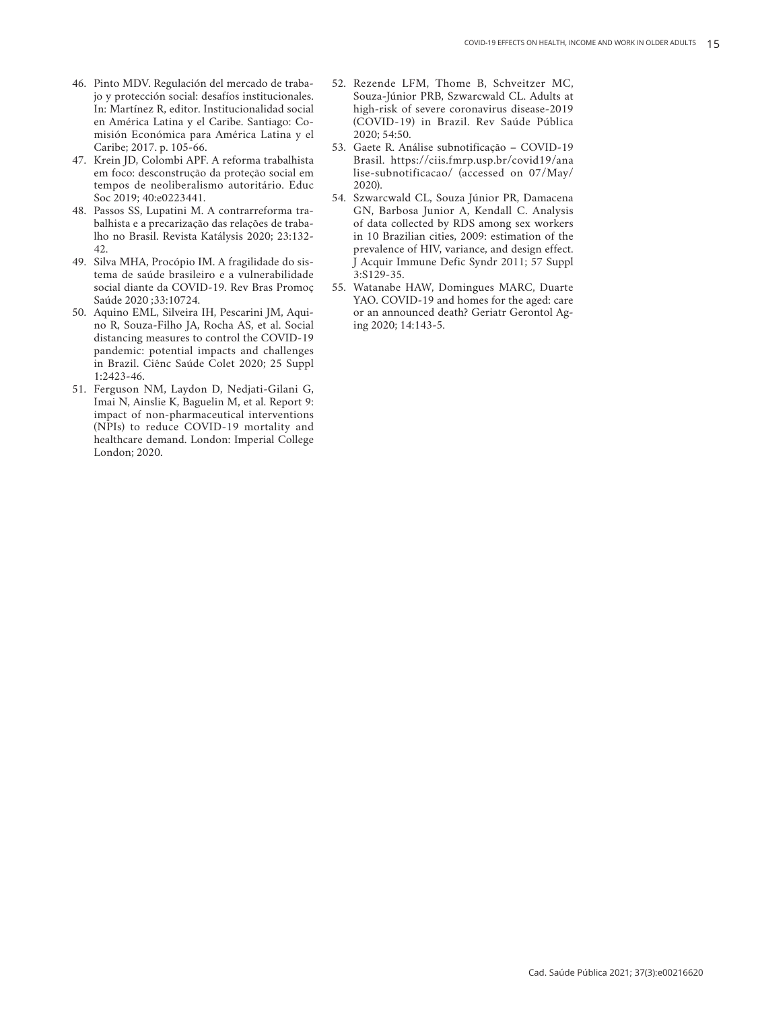- 46. Pinto MDV. Regulación del mercado de traba jo y protección social: desafíos institucionales. In: Martínez R, editor. Institucionalidad social en América Latina y el Caribe. Santiago: Co misión Económica para América Latina y el Caribe; 2017. p. 105-66.
- 47. Krein JD, Colombi APF. A reforma trabalhista em foco: desconstrução da proteção social em tempos de neoliberalismo autoritário. Educ Soc 2019; 40:e0223441.
- 48. Passos SS, Lupatini M. A contrarreforma tra balhista e a precarização das relações de traba lho no Brasil. Revista Katálysis 2020; 23:132- 42.
- 49. Silva MHA, Procópio IM. A fragilidade do sis tema de saúde brasileiro e a vulnerabilidade social diante da COVID-19. Rev Bras Promoç Saúde 2020 ;33:10724.
- 50. Aquino EML, Silveira IH, Pescarini JM, Aqui no R, Souza-Filho JA, Rocha AS, et al. Social distancing measures to control the COVID-19 pandemic: potential impacts and challenges in Brazil. Ciênc Saúde Colet 2020; 25 Suppl 1:2423-46.
- 51. Ferguson NM, Laydon D, Nedjati-Gilani G, Imai N, Ainslie K, Baguelin M, et al. Report 9: impact of non-pharmaceutical interventions (NPIs) to reduce COVID-19 mortality and healthcare demand. London: Imperial College London; 2020.
- 52. Rezende LFM, Thome B, Schveitzer MC, Souza-Júnior PRB, Szwarcwald CL. Adults at high-risk of severe coronavirus disease-2019 (COVID-19) in Brazil. Rev Saúde Pública 2020; 54:50.
- 53. Gaete R. Análise subnotificação COVID-19 Brasil. https://ciis.fmrp.usp.br/covid19/ana lise-subnotificacao/ (accessed on 07/May/ 2020).
- 54. Szwarcwald CL, Souza Júnior PR, Damacena GN, Barbosa Junior A, Kendall C. Analysis of data collected by RDS among sex workers in 10 Brazilian cities, 2009: estimation of the prevalence of HIV, variance, and design effect. J Acquir Immune Defic Syndr 2011; 57 Suppl 3:S129-35.
- 55. Watanabe HAW, Domingues MARC, Duarte YAO. COVID-19 and homes for the aged: care or an announced death? Geriatr Gerontol Ag ing 2020; 14:143-5.